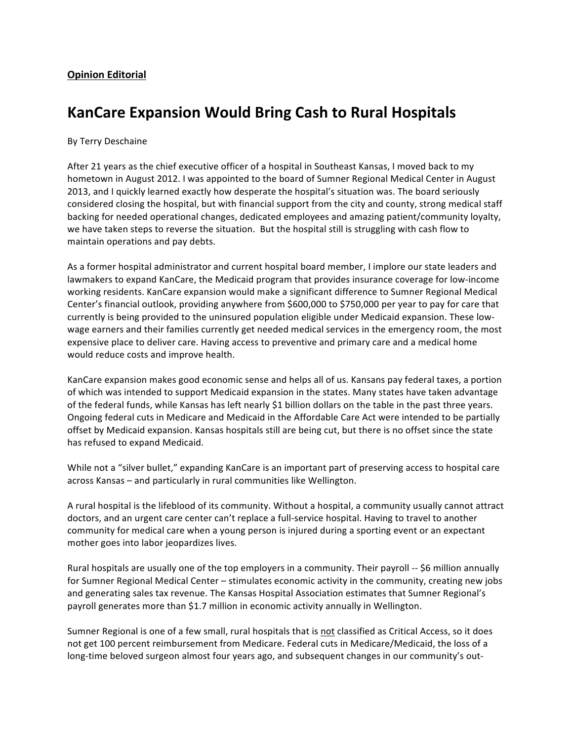## **KanCare Expansion Would Bring Cash to Rural Hospitals**

## By Terry Deschaine

After 21 years as the chief executive officer of a hospital in Southeast Kansas, I moved back to my hometown in August 2012. I was appointed to the board of Sumner Regional Medical Center in August 2013, and I quickly learned exactly how desperate the hospital's situation was. The board seriously considered closing the hospital, but with financial support from the city and county, strong medical staff backing for needed operational changes, dedicated employees and amazing patient/community loyalty, we have taken steps to reverse the situation. But the hospital still is struggling with cash flow to maintain operations and pay debts.

As a former hospital administrator and current hospital board member, I implore our state leaders and lawmakers to expand KanCare, the Medicaid program that provides insurance coverage for low-income working residents. KanCare expansion would make a significant difference to Sumner Regional Medical Center's financial outlook, providing anywhere from \$600,000 to \$750,000 per year to pay for care that currently is being provided to the uninsured population eligible under Medicaid expansion. These lowwage earners and their families currently get needed medical services in the emergency room, the most expensive place to deliver care. Having access to preventive and primary care and a medical home would reduce costs and improve health.

KanCare expansion makes good economic sense and helps all of us. Kansans pay federal taxes, a portion of which was intended to support Medicaid expansion in the states. Many states have taken advantage of the federal funds, while Kansas has left nearly \$1 billion dollars on the table in the past three years. Ongoing federal cuts in Medicare and Medicaid in the Affordable Care Act were intended to be partially offset by Medicaid expansion. Kansas hospitals still are being cut, but there is no offset since the state has refused to expand Medicaid.

While not a "silver bullet," expanding KanCare is an important part of preserving access to hospital care across Kansas – and particularly in rural communities like Wellington.

A rural hospital is the lifeblood of its community. Without a hospital, a community usually cannot attract doctors, and an urgent care center can't replace a full-service hospital. Having to travel to another community for medical care when a young person is injured during a sporting event or an expectant mother goes into labor jeopardizes lives.

Rural hospitals are usually one of the top employers in a community. Their payroll -- \$6 million annually for Sumner Regional Medical Center – stimulates economic activity in the community, creating new jobs and generating sales tax revenue. The Kansas Hospital Association estimates that Sumner Regional's payroll generates more than \$1.7 million in economic activity annually in Wellington.

Sumner Regional is one of a few small, rural hospitals that is not classified as Critical Access, so it does not get 100 percent reimbursement from Medicare. Federal cuts in Medicare/Medicaid, the loss of a long-time beloved surgeon almost four years ago, and subsequent changes in our community's out